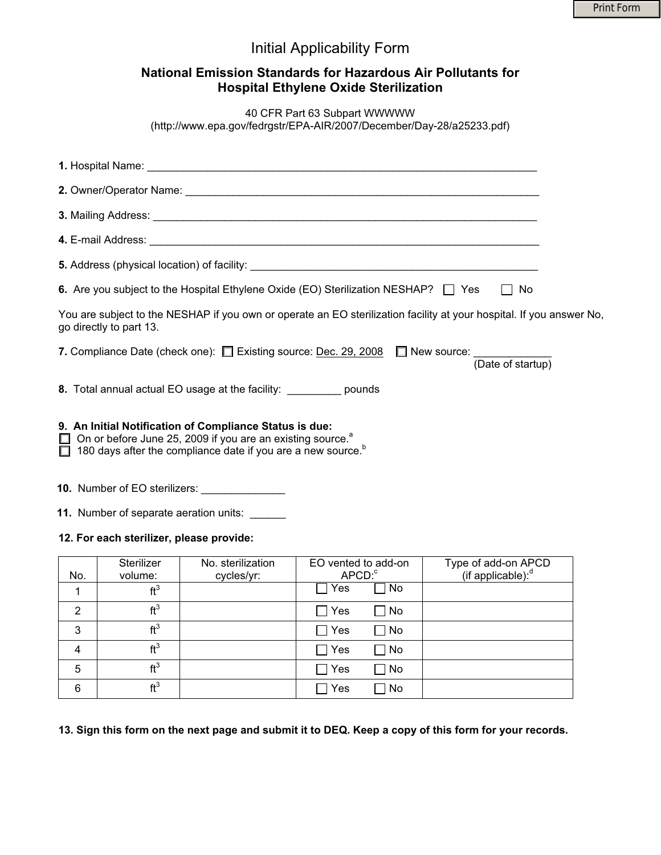|              |                                          |                                                                                                                                                                                                                             | <b>Initial Applicability Form</b>                                                                            |                                                                                                                      |
|--------------|------------------------------------------|-----------------------------------------------------------------------------------------------------------------------------------------------------------------------------------------------------------------------------|--------------------------------------------------------------------------------------------------------------|----------------------------------------------------------------------------------------------------------------------|
|              |                                          |                                                                                                                                                                                                                             | National Emission Standards for Hazardous Air Pollutants for<br><b>Hospital Ethylene Oxide Sterilization</b> |                                                                                                                      |
|              |                                          |                                                                                                                                                                                                                             | 40 CFR Part 63 Subpart WWWWW<br>(http://www.epa.gov/fedrgstr/EPA-AIR/2007/December/Day-28/a25233.pdf)        |                                                                                                                      |
|              |                                          |                                                                                                                                                                                                                             |                                                                                                              |                                                                                                                      |
|              |                                          |                                                                                                                                                                                                                             |                                                                                                              |                                                                                                                      |
|              |                                          |                                                                                                                                                                                                                             |                                                                                                              |                                                                                                                      |
|              |                                          |                                                                                                                                                                                                                             |                                                                                                              |                                                                                                                      |
|              |                                          |                                                                                                                                                                                                                             |                                                                                                              |                                                                                                                      |
|              |                                          |                                                                                                                                                                                                                             | 6. Are you subject to the Hospital Ethylene Oxide (EO) Sterilization NESHAP? □ Yes                           | ∣ I No                                                                                                               |
|              | go directly to part 13.                  |                                                                                                                                                                                                                             |                                                                                                              | You are subject to the NESHAP if you own or operate an EO sterilization facility at your hospital. If you answer No, |
|              |                                          |                                                                                                                                                                                                                             | 7. Compliance Date (check one): $\Box$ Existing source: Dec. 29, 2008 $\Box$ New source:                     | (Date of startup)                                                                                                    |
|              |                                          | 8. Total annual actual EO usage at the facility: ___________ pounds                                                                                                                                                         |                                                                                                              |                                                                                                                      |
|              |                                          | 9. An Initial Notification of Compliance Status is due:<br>$\Box$ On or before June 25, 2009 if you are an existing source. <sup>8</sup><br>$\Box$ 180 days after the compliance date if you are a new source. <sup>b</sup> |                                                                                                              |                                                                                                                      |
|              |                                          | <b>10.</b> Number of EO sterilizers:                                                                                                                                                                                        |                                                                                                              |                                                                                                                      |
|              |                                          | 11. Number of separate aeration units:                                                                                                                                                                                      |                                                                                                              |                                                                                                                      |
|              | 12. For each sterilizer, please provide: |                                                                                                                                                                                                                             |                                                                                                              |                                                                                                                      |
| No.          | Sterilizer<br>volume:<br>ft <sup>3</sup> | No. sterilization<br>cycles/yr:                                                                                                                                                                                             | EO vented to add-on<br>$APCD$ <sup>c</sup><br>∣ ∣Yes<br>$\Box$ No                                            | Type of add-on APCD<br>(if applicable): <sup>d</sup>                                                                 |
| $\mathbf{1}$ |                                          |                                                                                                                                                                                                                             |                                                                                                              |                                                                                                                      |

|   | H <sup>3</sup> | $\Box$ Yes           | $\Box$ No |  |
|---|----------------|----------------------|-----------|--|
|   | H <sup>3</sup> | $\Box$ Yes $\Box$ No |           |  |
|   | $H^3$          | $\Box$ Yes           | $\Box$ No |  |
| 5 | H <sup>3</sup> | $\Box$ Yes           | $\Box$ No |  |
|   | $\mathbf{H}^3$ | $\Box$ Yes           | $\Box$ No |  |

**13. Sign this form on the next page and submit it to DEQ. Keep a copy of this form for your records.**